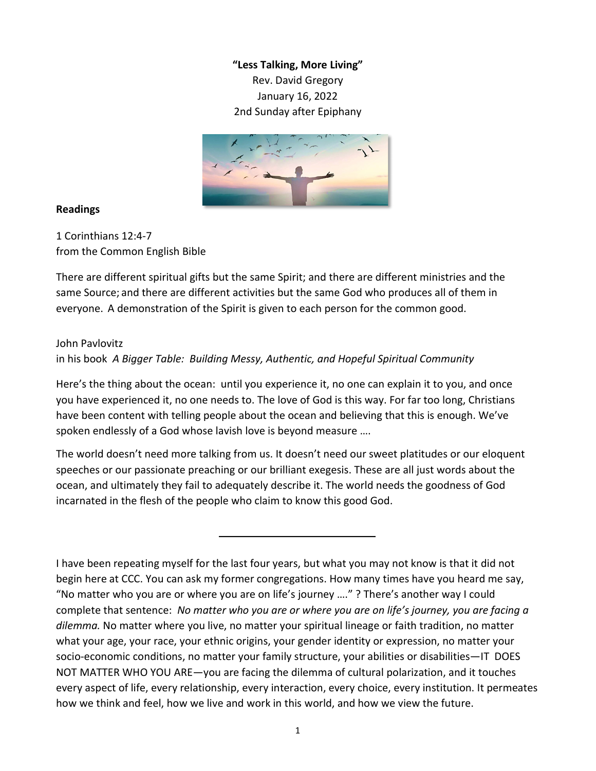**"Less Talking, More Living"** Rev. David Gregory January 16, 2022 2nd Sunday after Epiphany



## **Readings**

1 Corinthians 12:4-7 from the Common English Bible

There are different spiritual gifts but the same Spirit; and there are different ministries and the same Source; and there are different activities but the same God who produces all of them in everyone. A demonstration of the Spirit is given to each person for the common good.

## John Pavlovitz

in his book *A Bigger Table: Building Messy, Authentic, and Hopeful Spiritual Community*

Here's the thing about the ocean: until you experience it, no one can explain it to you, and once you have experienced it, no one needs to. The love of God is this way. For far too long, Christians have been content with telling people about the ocean and believing that this is enough. We've spoken endlessly of a God whose lavish love is beyond measure ….

The world doesn't need more talking from us. It doesn't need our sweet platitudes or our eloquent speeches or our passionate preaching or our brilliant exegesis. These are all just words about the ocean, and ultimately they fail to adequately describe it. The world needs the goodness of God incarnated in the flesh of the people who claim to know this good God.

I have been repeating myself for the last four years, but what you may not know is that it did not begin here at CCC. You can ask my former congregations. How many times have you heard me say, "No matter who you are or where you are on life's journey …." ? There's another way I could complete that sentence: *No matter who you are or where you are on life's journey, you are facing a dilemma.* No matter where you live, no matter your spiritual lineage or faith tradition, no matter what your age, your race, your ethnic origins, your gender identity or expression, no matter your socio-economic conditions, no matter your family structure, your abilities or disabilities—IT DOES NOT MATTER WHO YOU ARE—you are facing the dilemma of cultural polarization, and it touches every aspect of life, every relationship, every interaction, every choice, every institution. It permeates how we think and feel, how we live and work in this world, and how we view the future.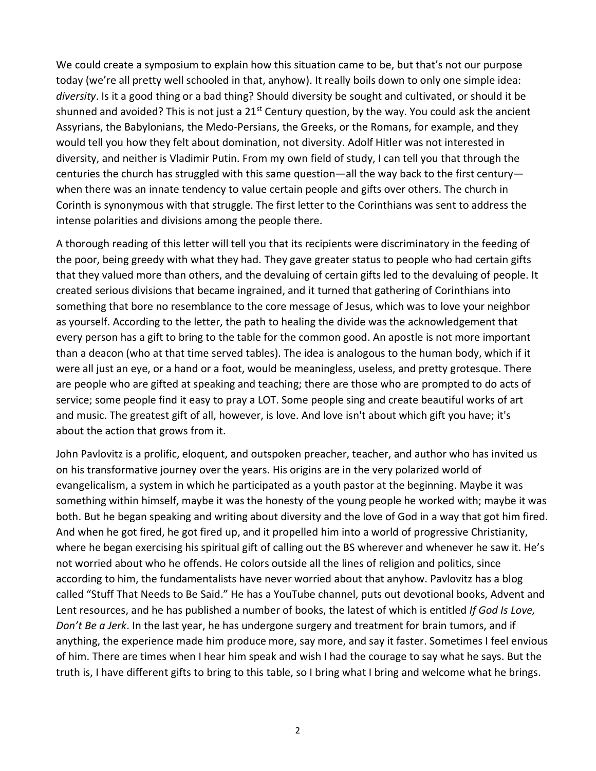We could create a symposium to explain how this situation came to be, but that's not our purpose today (we're all pretty well schooled in that, anyhow). It really boils down to only one simple idea: *diversity*. Is it a good thing or a bad thing? Should diversity be sought and cultivated, or should it be shunned and avoided? This is not just a  $21^{st}$  Century question, by the way. You could ask the ancient Assyrians, the Babylonians, the Medo-Persians, the Greeks, or the Romans, for example, and they would tell you how they felt about domination, not diversity. Adolf Hitler was not interested in diversity, and neither is Vladimir Putin. From my own field of study, I can tell you that through the centuries the church has struggled with this same question—all the way back to the first century when there was an innate tendency to value certain people and gifts over others. The church in Corinth is synonymous with that struggle. The first letter to the Corinthians was sent to address the intense polarities and divisions among the people there.

A thorough reading of this letter will tell you that its recipients were discriminatory in the feeding of the poor, being greedy with what they had. They gave greater status to people who had certain gifts that they valued more than others, and the devaluing of certain gifts led to the devaluing of people. It created serious divisions that became ingrained, and it turned that gathering of Corinthians into something that bore no resemblance to the core message of Jesus, which was to love your neighbor as yourself. According to the letter, the path to healing the divide was the acknowledgement that every person has a gift to bring to the table for the common good. An apostle is not more important than a deacon (who at that time served tables). The idea is analogous to the human body, which if it were all just an eye, or a hand or a foot, would be meaningless, useless, and pretty grotesque. There are people who are gifted at speaking and teaching; there are those who are prompted to do acts of service; some people find it easy to pray a LOT. Some people sing and create beautiful works of art and music. The greatest gift of all, however, is love. And love isn't about which gift you have; it's about the action that grows from it.

John Pavlovitz is a prolific, eloquent, and outspoken preacher, teacher, and author who has invited us on his transformative journey over the years. His origins are in the very polarized world of evangelicalism, a system in which he participated as a youth pastor at the beginning. Maybe it was something within himself, maybe it was the honesty of the young people he worked with; maybe it was both. But he began speaking and writing about diversity and the love of God in a way that got him fired. And when he got fired, he got fired up, and it propelled him into a world of progressive Christianity, where he began exercising his spiritual gift of calling out the BS wherever and whenever he saw it. He's not worried about who he offends. He colors outside all the lines of religion and politics, since according to him, the fundamentalists have never worried about that anyhow. Pavlovitz has a blog called "Stuff That Needs to Be Said." He has a YouTube channel, puts out devotional books, Advent and Lent resources, and he has published a number of books, the latest of which is entitled *If God Is Love, Don't Be a Jerk*. In the last year, he has undergone surgery and treatment for brain tumors, and if anything, the experience made him produce more, say more, and say it faster. Sometimes I feel envious of him. There are times when I hear him speak and wish I had the courage to say what he says. But the truth is, I have different gifts to bring to this table, so I bring what I bring and welcome what he brings.